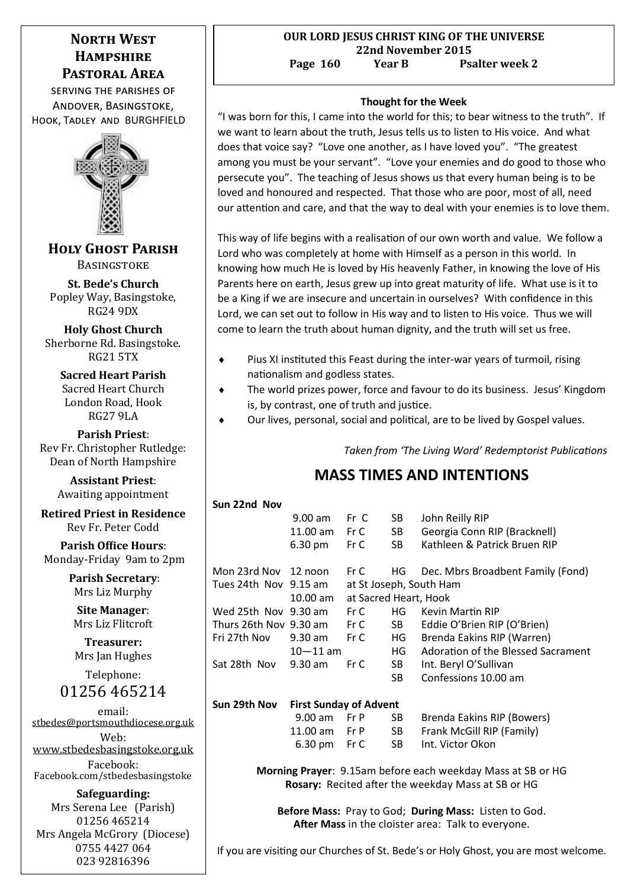# **NORTH WEST Hampshire Pastoral Area**

serving the parishes of Andover, Basingstoke, Hook, Tadley and BURGHFIELD



**Holy Ghost Parish BASINGSTOKE** 

**St. Bede's Church**  Popley Way, Basingstoke, RG24 9DX

**Holy Ghost Church** Sherborne Rd. Basingstoke. RG21 5TX

**Sacred Heart Parish** Sacred Heart Church London Road, Hook RG27 9LA

**Parish Priest**: Rev Fr. Christopher Rutledge: Dean of North Hampshire

> **Assistant Priest**: Awaiting appointment

**Retired Priest in Residence** Rev Fr. Peter Codd

**Parish Office Hours**: Monday-Friday 9am to 2pm

> **Parish Secretary**: Mrs Liz Murphy

**Site Manager**: Mrs Liz Flitcroft

**Treasurer:** Mrs Jan Hughes

Telephone: 01256 465214

email: [stbedes@portsmouthdiocese.org.uk](mailto:stbedes@portsmouthdiocese.org.uk) Web:

[www.stbedesbasingstoke.org.uk](http://www.stbedesbasingstoke.org.uk) Facebook:

Facebook.com/stbedesbasingstoke

**Safeguarding:** Mrs Serena Lee (Parish) 01256 465214 Mrs Angela McGrory (Diocese) 0755 4427 064 023 92816396

## **Thought for the Week**

"I was born for this, I came into the world for this; to bear witness to the truth". If we want to learn about the truth, Jesus tells us to listen to His voice. And what does that voice say? "Love one another, as I have loved you". "The greatest among you must be your servant". "Love your enemies and do good to those who persecute you". The teaching of Jesus shows us that every human being is to be loved and honoured and respected. That those who are poor, most of all, need our attention and care, and that the way to deal with your enemies is to love them.

This way of life begins with a realisation of our own worth and value. We follow a Lord who was completely at home with Himself as a person in this world. In knowing how much He is loved by His heavenly Father, in knowing the love of His Parents here on earth, Jesus grew up into great maturity of life. What use is it to be a King if we are insecure and uncertain in ourselves? With confidence in this Lord, we can set out to follow in His way and to listen to His voice. Thus we will come to learn the truth about human dignity, and the truth will set us free.

- Pius XI instituted this Feast during the inter-war years of turmoil, rising nationalism and godless states.
- The world prizes power, force and favour to do its business. Jesus' Kingdom is, by contrast, one of truth and justice.
- Our lives, personal, social and political, are to be lived by Gospel values.

*Taken from 'The Living Word' Redemptorist Publications*

# **MASS TIMES AND INTENTIONS**

| Sun 22nd Nov                |                               |                         |                 |                                    |  |
|-----------------------------|-------------------------------|-------------------------|-----------------|------------------------------------|--|
|                             | $9.00$ am                     | Fr C                    | SB.             | John Reilly RIP                    |  |
|                             | 11.00 am  Fr C                |                         | SB              | Georgia Conn RIP (Bracknell)       |  |
|                             | $6.30 \text{ pm}$             | Fr C                    | SB -            | Kathleen & Patrick Bruen RIP       |  |
| Mon 23rd Nov 12 noon        |                               | Fr C HG                 |                 | Dec. Mbrs Broadbent Family (Fond)  |  |
| Tues 24th Nov 9.15 am       |                               | at St Joseph, South Ham |                 |                                    |  |
|                             | 10.00 am                      | at Sacred Heart, Hook   |                 |                                    |  |
| Wed 25th Nov 9.30 am Fr C   |                               |                         | HG –            | <b>Kevin Martin RIP</b>            |  |
| Thurs 26th Nov 9.30 am Fr C |                               |                         | SB <sub>1</sub> | Eddie O'Brien RIP (O'Brien)        |  |
| Fri 27th Nov                | 9.30 am Fr C                  |                         | HG T            | Brenda Eakins RIP (Warren)         |  |
|                             | $10 - 11$ am                  |                         | HG              | Adoration of the Blessed Sacrament |  |
| Sat 28th Nov                | $9.30$ am                     | FrC                     | SB -            | Int. Beryl O'Sullivan              |  |
|                             |                               |                         | SB -            | Confessions 10.00 am               |  |
| Sun 29th Nov                | <b>First Sunday of Advent</b> |                         |                 |                                    |  |
|                             | $9.00$ am                     | Fr P                    | SB.             | Brenda Eakins RIP (Bowers)         |  |
|                             | 11.00 am  Fr P                |                         | SB              | Frank McGill RIP (Family)          |  |
|                             | 6.30 pm                       | Fr C                    | SB.             | Int. Victor Okon                   |  |
|                             |                               |                         |                 |                                    |  |

**Morning Prayer**: 9.15am before each weekday Mass at SB or HG **Rosary:** Recited after the weekday Mass at SB or HG

**Before Mass:** Pray to God; **During Mass:** Listen to God. **After Mass** in the cloister area: Talk to everyone.

If you are visiting our Churches of St. Bede's or Holy Ghost, you are most welcome.